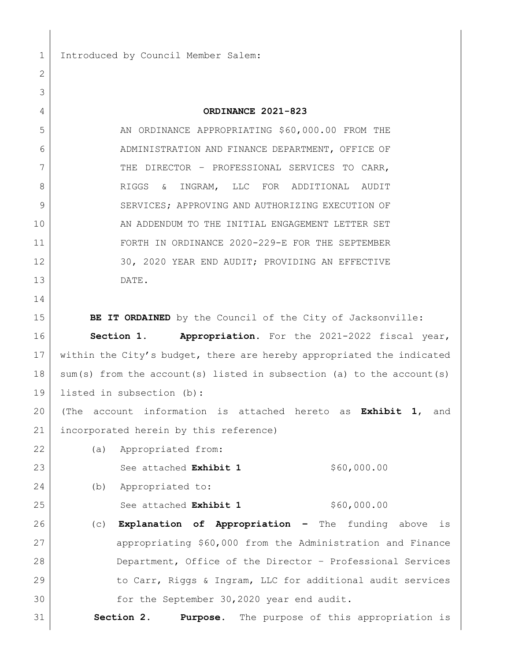1 Introduced by Council Member Salem:

## **ORDINANCE 2021-823**

5 AN ORDINANCE APPROPRIATING \$60,000.00 FROM THE 6 ADMINISTRATION AND FINANCE DEPARTMENT, OFFICE OF 7 THE DIRECTOR - PROFESSIONAL SERVICES TO CARR, RIGGS & INGRAM, LLC FOR ADDITIONAL AUDIT 9 SERVICES; APPROVING AND AUTHORIZING EXECUTION OF 10 AN ADDENDUM TO THE INITIAL ENGAGEMENT LETTER SET FORTH IN ORDINANCE 2020-229-E FOR THE SEPTEMBER 12 30, 2020 YEAR END AUDIT; PROVIDING AN EFFECTIVE DATE.

**BE IT ORDAINED** by the Council of the City of Jacksonville:

 **Section 1. Appropriation.** For the 2021-2022 fiscal year, within the City's budget, there are hereby appropriated the indicated sum(s) from the account(s) listed in subsection (a) to the account(s) listed in subsection (b):

 (The account information is attached hereto as **Exhibit 1**, and incorporated herein by this reference)

(a) Appropriated from:

23 See attached **Exhibit 1** \$60,000.00

(b) Appropriated to:

25 See attached **Exhibit 1** \$60,000.00

 (c) **Explanation of Appropriation –** The funding above is 27 appropriating \$60,000 from the Administration and Finance Department, Office of the Director – Professional Services 29 to Carr, Riggs & Ingram, LLC for additional audit services for the September 30,2020 year end audit.

**Section 2**. **Purpose.** The purpose of this appropriation is